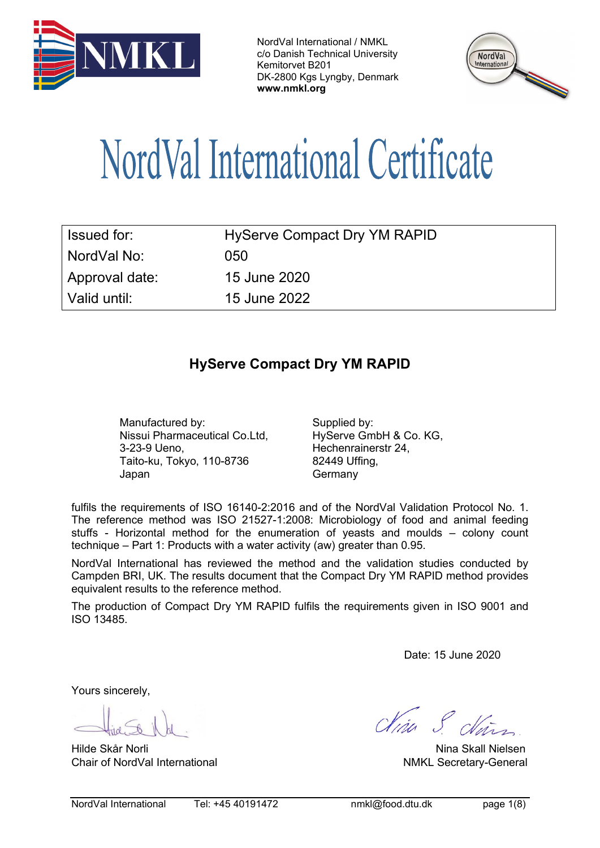



# NordVal International Certificate

| Issued for:      | <b>HyServe Compact Dry YM RAPID</b> |
|------------------|-------------------------------------|
| l NordVal No: l  | 050                                 |
| Approval date:   | 15 June 2020                        |
| l Valid until: l | 15 June 2022                        |

# **HyServe Compact Dry YM RAPID**

Manufactured by: Supplied by: Nissui Pharmaceutical Co.Ltd, 3-23-9 Ueno, Taito-ku, Tokyo, 110-8736 Japan

HyServe GmbH & Co. KG, Hechenrainerstr 24, 82449 Uffing, **Germany** 

fulfils the requirements of ISO 16140-2:2016 and of the NordVal Validation Protocol No. 1. The reference method was ISO 21527-1:2008: Microbiology of food and animal feeding stuffs - Horizontal method for the enumeration of yeasts and moulds – colony count technique – Part 1: Products with a water activity (aw) greater than 0.95.

NordVal International has reviewed the method and the validation studies conducted by Campden BRI, UK. The results document that the Compact Dry YM RAPID method provides equivalent results to the reference method.

The production of Compact Dry YM RAPID fulfils the requirements given in ISO 9001 and ISO 13485.

Date: 15 June 2020

Yours sincerely,

Hilde Skår Norli Nina Skall Nielsen Chair of NordVal International and a state of NordVal International American Chair of NordVal International

Clina S. clear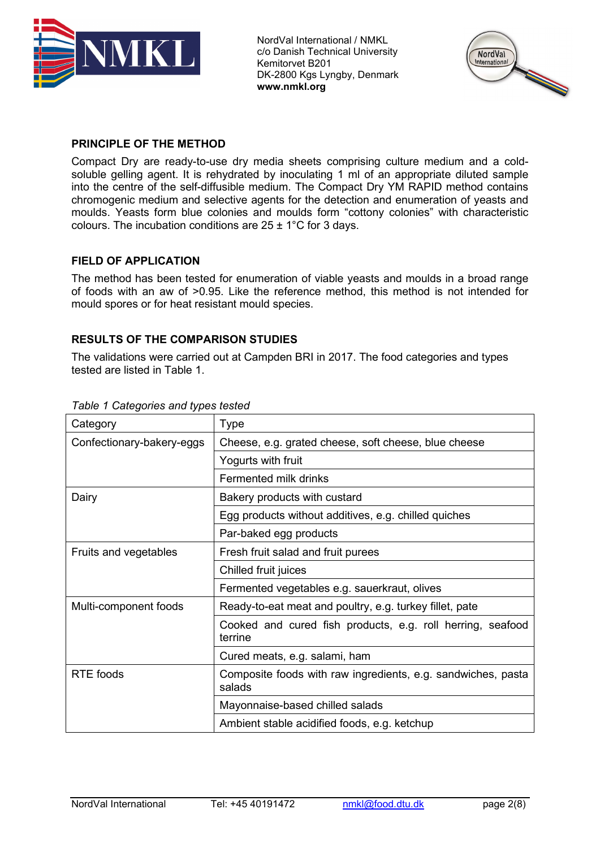



### **PRINCIPLE OF THE METHOD**

Compact Dry are ready-to-use dry media sheets comprising culture medium and a coldsoluble gelling agent. It is rehydrated by inoculating 1 ml of an appropriate diluted sample into the centre of the self-diffusible medium. The Compact Dry YM RAPID method contains chromogenic medium and selective agents for the detection and enumeration of yeasts and moulds. Yeasts form blue colonies and moulds form "cottony colonies" with characteristic colours. The incubation conditions are  $25 \pm 1^{\circ}$ C for 3 days.

#### **FIELD OF APPLICATION**

The method has been tested for enumeration of viable yeasts and moulds in a broad range of foods with an aw of >0.95. Like the reference method, this method is not intended for mould spores or for heat resistant mould species.

#### **RESULTS OF THE COMPARISON STUDIES**

The validations were carried out at Campden BRI in 2017. The food categories and types tested are listed in Table 1.

| Category                  | Type                                                                   |  |
|---------------------------|------------------------------------------------------------------------|--|
| Confectionary-bakery-eggs | Cheese, e.g. grated cheese, soft cheese, blue cheese                   |  |
|                           | Yogurts with fruit                                                     |  |
|                           | Fermented milk drinks                                                  |  |
| Dairy                     | Bakery products with custard                                           |  |
|                           | Egg products without additives, e.g. chilled quiches                   |  |
|                           | Par-baked egg products                                                 |  |
| Fruits and vegetables     | Fresh fruit salad and fruit purees                                     |  |
|                           | Chilled fruit juices                                                   |  |
|                           | Fermented vegetables e.g. sauerkraut, olives                           |  |
| Multi-component foods     | Ready-to-eat meat and poultry, e.g. turkey fillet, pate                |  |
|                           | Cooked and cured fish products, e.g. roll herring, seafood<br>terrine  |  |
|                           | Cured meats, e.g. salami, ham                                          |  |
| <b>RTE</b> foods          | Composite foods with raw ingredients, e.g. sandwiches, pasta<br>salads |  |
|                           | Mayonnaise-based chilled salads                                        |  |
|                           | Ambient stable acidified foods, e.g. ketchup                           |  |

#### *Table 1 Categories and types tested*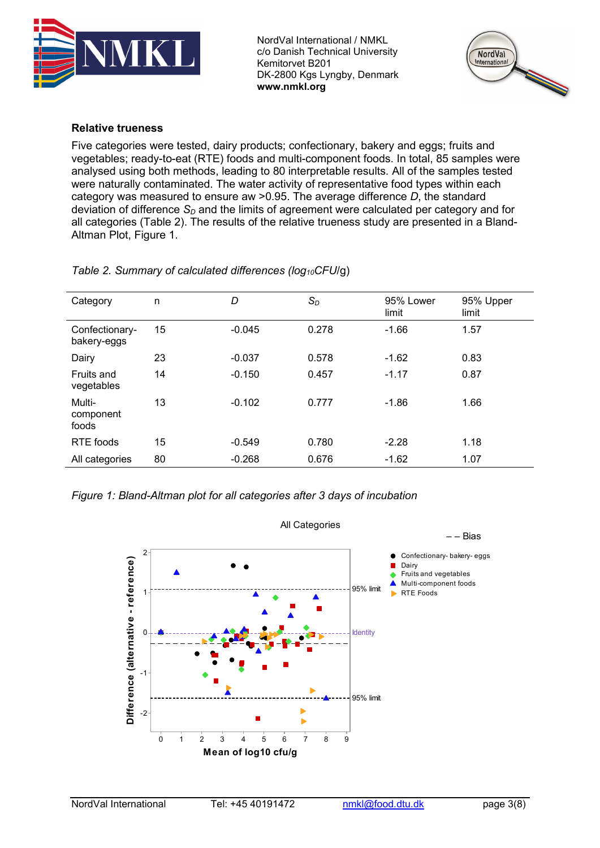



#### **Relative trueness**

Five categories were tested, dairy products; confectionary, bakery and eggs; fruits and vegetables; ready-to-eat (RTE) foods and multi-component foods. In total, 85 samples were analysed using both methods, leading to 80 interpretable results. All of the samples tested were naturally contaminated. The water activity of representative food types within each category was measured to ensure aw >0.95. The average difference *D*, the standard deviation of difference  $S<sub>D</sub>$  and the limits of agreement were calculated per category and for all categories (Table 2). The results of the relative trueness study are presented in a Bland-Altman Plot, Figure 1.

| Category                      | n  | D        | $S_D$ | 95% Lower<br>limit | 95% Upper<br>limit |
|-------------------------------|----|----------|-------|--------------------|--------------------|
| Confectionary-<br>bakery-eggs | 15 | $-0.045$ | 0.278 | $-1.66$            | 1.57               |
| Dairy                         | 23 | $-0.037$ | 0.578 | $-1.62$            | 0.83               |
| Fruits and<br>vegetables      | 14 | $-0.150$ | 0.457 | $-1.17$            | 0.87               |
| Multi-<br>component<br>foods  | 13 | $-0.102$ | 0.777 | $-1.86$            | 1.66               |
| RTE foods                     | 15 | $-0.549$ | 0.780 | $-2.28$            | 1.18               |
| All categories                | 80 | $-0.268$ | 0.676 | $-1.62$            | 1.07               |

*Table 2. Summary of calculated differences (log10CFU*/g)

*Figure 1: Bland-Altman plot for all categories after 3 days of incubation*

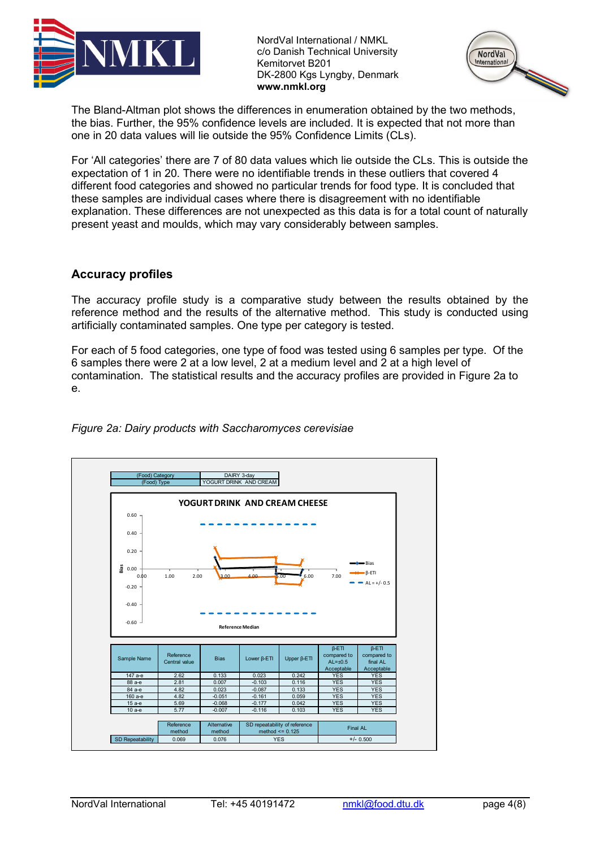



The Bland-Altman plot shows the differences in enumeration obtained by the two methods, the bias. Further, the 95% confidence levels are included. It is expected that not more than one in 20 data values will lie outside the 95% Confidence Limits (CLs).

For 'All categories' there are 7 of 80 data values which lie outside the CLs. This is outside the expectation of 1 in 20. There were no identifiable trends in these outliers that covered 4 different food categories and showed no particular trends for food type. It is concluded that these samples are individual cases where there is disagreement with no identifiable explanation. These differences are not unexpected as this data is for a total count of naturally present yeast and moulds, which may vary considerably between samples.

# **Accuracy profiles**

The accuracy profile study is a comparative study between the results obtained by the reference method and the results of the alternative method. This study is conducted using artificially contaminated samples. One type per category is tested.

For each of 5 food categories, one type of food was tested using 6 samples per type. Of the 6 samples there were 2 at a low level, 2 at a medium level and 2 at a high level of contamination. The statistical results and the accuracy profiles are provided in Figure 2a to e.



#### *Figure 2a: Dairy products with Saccharomyces cerevisiae*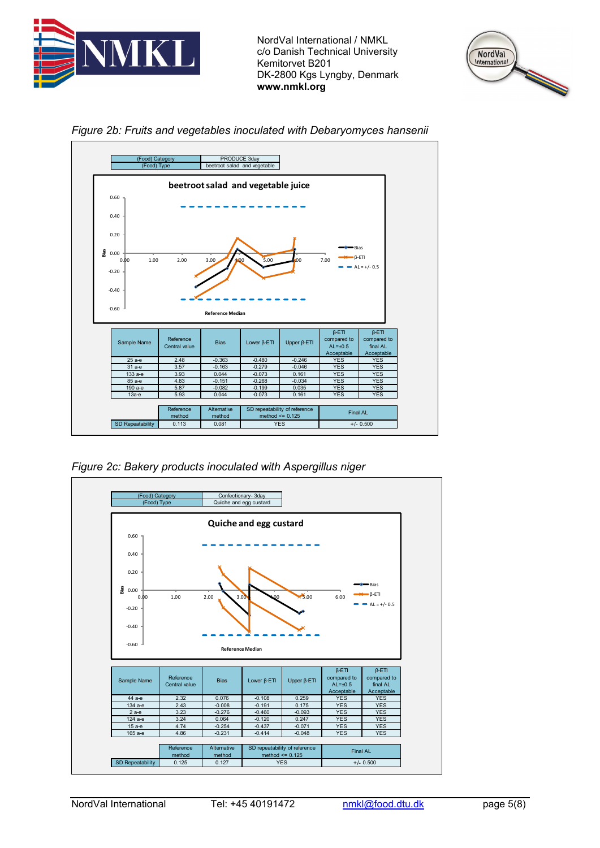







*Figure 2c: Bakery products inoculated with Aspergillus niger*



NordVal International Tel: +45 40191472 [nmkl@food.dtu.dk](mailto:nmkl@food.dtu.dk) page 5(8)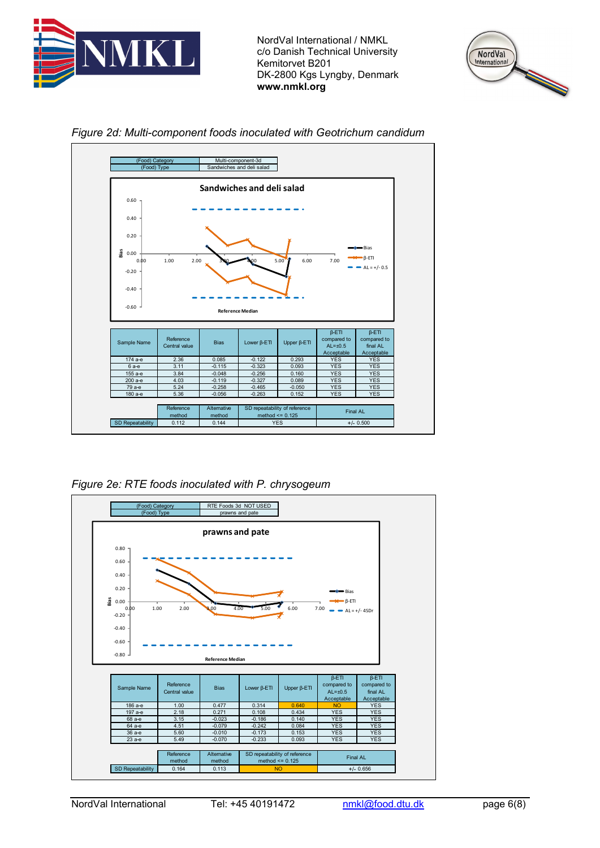





#### *Figure 2d: Multi-component foods inoculated with Geotrichum candidum*

*Figure 2e: RTE foods inoculated with P. chrysogeum*

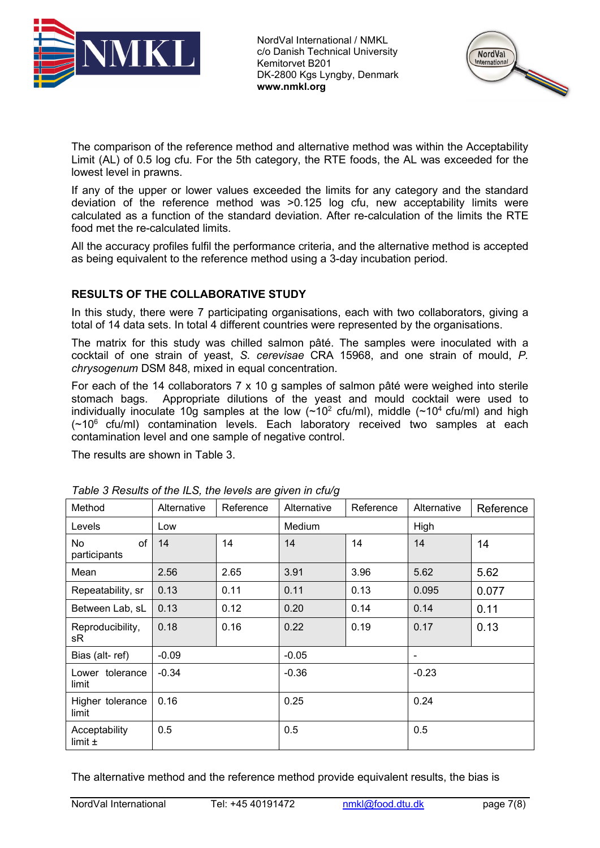



The comparison of the reference method and alternative method was within the Acceptability Limit (AL) of 0.5 log cfu. For the 5th category, the RTE foods, the AL was exceeded for the lowest level in prawns.

If any of the upper or lower values exceeded the limits for any category and the standard deviation of the reference method was >0.125 log cfu, new acceptability limits were calculated as a function of the standard deviation. After re-calculation of the limits the RTE food met the re-calculated limits.

All the accuracy profiles fulfil the performance criteria, and the alternative method is accepted as being equivalent to the reference method using a 3-day incubation period.

#### **RESULTS OF THE COLLABORATIVE STUDY**

In this study, there were 7 participating organisations, each with two collaborators, giving a total of 14 data sets. In total 4 different countries were represented by the organisations.

The matrix for this study was chilled salmon pâté. The samples were inoculated with a cocktail of one strain of yeast, *S. cerevisae* CRA 15968, and one strain of mould, *P. chrysogenum* DSM 848, mixed in equal concentration.

For each of the 14 collaborators 7 x 10 g samples of salmon pâté were weighed into sterile stomach bags. Appropriate dilutions of the yeast and mould cocktail were used to individually inoculate 10g samples at the low  $(\sim 10^2 \text{ cfu/ml})$ , middle  $(\sim 10^4 \text{ cfu/ml})$  and high  $(-10^6 \text{ cfu/ml})$  contamination levels. Each laboratory received two samples at each contamination level and one sample of negative control.

The results are shown in Table 3.

| Method                       | Alternative | Reference | Alternative | Reference | Alternative              | Reference |
|------------------------------|-------------|-----------|-------------|-----------|--------------------------|-----------|
| Levels                       | Low         |           | Medium      |           | High                     |           |
| of<br>No<br>participants     | 14          | 14        | 14          | 14        | 14                       | 14        |
| Mean                         | 2.56        | 2.65      | 3.91        | 3.96      | 5.62                     | 5.62      |
| Repeatability, sr            | 0.13        | 0.11      | 0.11        | 0.13      | 0.095                    | 0.077     |
| Between Lab, sL              | 0.13        | 0.12      | 0.20        | 0.14      | 0.14                     | 0.11      |
| Reproducibility,<br>sR       | 0.18        | 0.16      | 0.22        | 0.19      | 0.17                     | 0.13      |
| Bias (alt-ref)               | $-0.09$     |           | $-0.05$     |           | $\overline{\phantom{a}}$ |           |
| Lower tolerance<br>limit     | $-0.34$     |           | $-0.36$     |           | $-0.23$                  |           |
| Higher tolerance<br>limit    | 0.16        |           | 0.25        |           | 0.24                     |           |
| Acceptability<br>limit $\pm$ | 0.5         |           | 0.5         |           | 0.5                      |           |

*Table 3 Results of the ILS, the levels are given in cfu/g*

The alternative method and the reference method provide equivalent results, the bias is